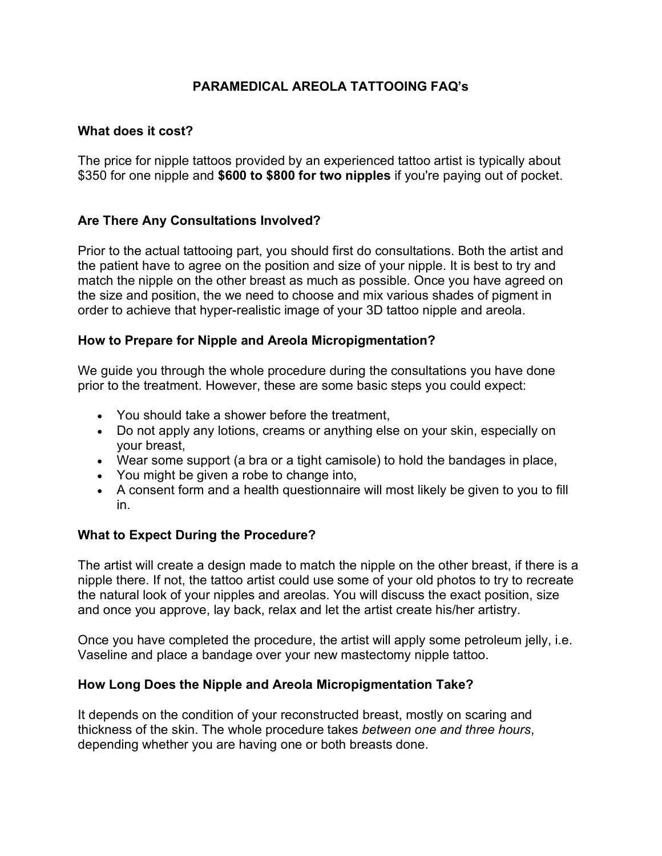# **PARAMEDICAL AREOLA TATTOOING FAQ's**

#### **What does it cost?**

The price for nipple tattoos provided by an experienced tattoo artist is typically about \$350 for one nipple and **\$600 to \$800 for two nipples** if you're paying out of pocket.

#### **Are There Any Consultations Involved?**

Prior to the actual tattooing part, you should first do consultations. Both the artist and the patient have to agree on the position and size of your nipple. It is best to try and match the nipple on the other breast as much as possible. Once you have agreed on the size and position, the we need to choose and mix various shades of pigment in order to achieve that hyper-realistic image of your 3D tattoo nipple and areola.

#### **How to Prepare for Nipple and Areola Micropigmentation?**

We guide you through the whole procedure during the consultations you have done prior to the treatment. However, these are some basic steps you could expect:

- You should take a shower before the treatment,
- Do not apply any lotions, creams or anything else on your skin, especially on your breast,
- Wear some support (a bra or a tight camisole) to hold the bandages in place,
- You might be given a robe to change into,
- A consent form and a health questionnaire will most likely be given to you to fill in.

## **What to Expect During the Procedure?**

The artist will create a design made to match the nipple on the other breast, if there is a nipple there. If not, the tattoo artist could use some of your old photos to try to recreate the natural look of your nipples and areolas. You will discuss the exact position, size and once you approve, lay back, relax and let the artist create his/her artistry.

Once you have completed the procedure, the artist will apply some petroleum jelly, i.e. Vaseline and place a bandage over your new mastectomy nipple tattoo.

#### **How Long Does the Nipple and Areola Micropigmentation Take?**

It depends on the condition of your reconstructed breast, mostly on scaring and thickness of the skin. The whole procedure takes *between one and three hours*, depending whether you are having one or both breasts done.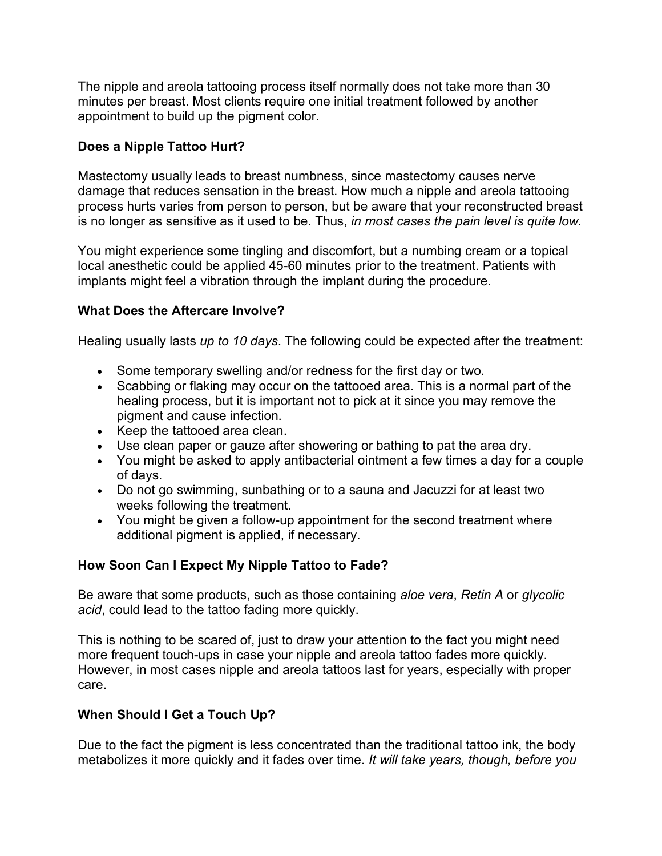The nipple and areola tattooing process itself normally does not take more than 30 minutes per breast. Most clients require one initial treatment followed by another appointment to build up the pigment color.

## **Does a Nipple Tattoo Hurt?**

Mastectomy usually leads to breast numbness, since mastectomy causes nerve damage that reduces sensation in the breast. How much a nipple and areola tattooing process hurts varies from person to person, but be aware that your reconstructed breast is no longer as sensitive as it used to be. Thus, *in most cases the pain level is quite low.*

You might experience some tingling and discomfort, but a numbing cream or a topical local anesthetic could be applied 45-60 minutes prior to the treatment. Patients with implants might feel a vibration through the implant during the procedure.

## **What Does the Aftercare Involve?**

Healing usually lasts *up to 10 days*. The following could be expected after the treatment:

- Some temporary swelling and/or redness for the first day or two.
- Scabbing or flaking may occur on the tattooed area. This is a normal part of the healing process, but it is important not to pick at it since you may remove the pigment and cause infection.
- Keep the tattooed area clean.
- Use clean paper or gauze after showering or bathing to pat the area dry.
- You might be asked to apply antibacterial ointment a few times a day for a couple of days.
- Do not go swimming, sunbathing or to a sauna and Jacuzzi for at least two weeks following the treatment.
- You might be given a follow-up appointment for the second treatment where additional pigment is applied, if necessary.

## **How Soon Can I Expect My Nipple Tattoo to Fade?**

Be aware that some products, such as those containing *aloe vera*, *Retin A* or *glycolic acid*, could lead to the tattoo fading more quickly.

This is nothing to be scared of, just to draw your attention to the fact you might need more frequent touch-ups in case your nipple and areola tattoo fades more quickly. However, in most cases nipple and areola tattoos last for years, especially with proper care.

## **When Should I Get a Touch Up?**

Due to the fact the pigment is less concentrated than the traditional tattoo ink, the body metabolizes it more quickly and it fades over time. *It will take years, though, before you*